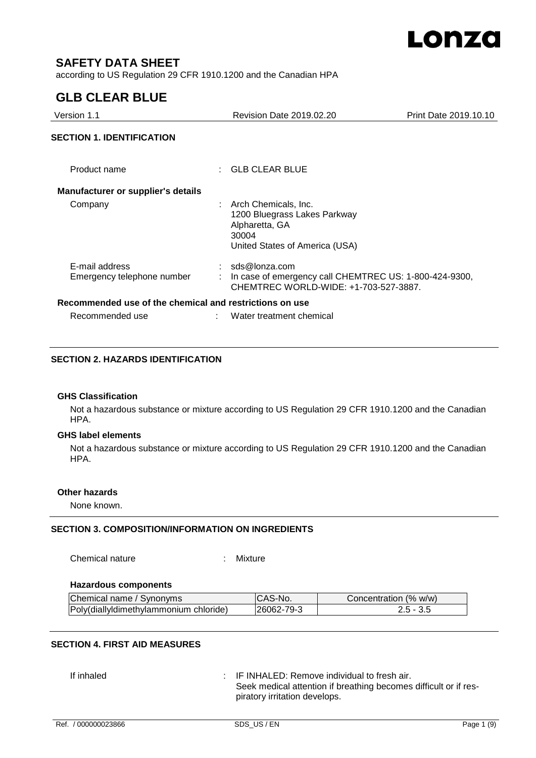

# **SAFETY DATA SHEET**

according to US Regulation 29 CFR 1910.1200 and the Canadian HPA

# **GLB CLEAR BLUE**

| Version 1.1                                             | <b>Revision Date 2019.02.20</b>                                                                                     | Print Date 2019.10.10                                  |
|---------------------------------------------------------|---------------------------------------------------------------------------------------------------------------------|--------------------------------------------------------|
| <b>SECTION 1. IDENTIFICATION</b>                        |                                                                                                                     |                                                        |
| Product name                                            | $\therefore$ GLB CLEAR BLUE                                                                                         |                                                        |
| Manufacturer or supplier's details                      |                                                                                                                     |                                                        |
| Company                                                 | : Arch Chemicals, Inc.<br>1200 Bluegrass Lakes Parkway<br>Alpharetta, GA<br>30004<br>United States of America (USA) |                                                        |
| E-mail address<br>Emergency telephone number            | $:$ sds@lonza.com<br>CHEMTREC WORLD-WIDE: +1-703-527-3887.                                                          | In case of emergency call CHEMTREC US: 1-800-424-9300, |
| Recommended use of the chemical and restrictions on use |                                                                                                                     |                                                        |
| Recommended use                                         | Water treatment chemical                                                                                            |                                                        |

#### **SECTION 2. HAZARDS IDENTIFICATION**

#### **GHS Classification**

Not a hazardous substance or mixture according to US Regulation 29 CFR 1910.1200 and the Canadian HPA.

#### **GHS label elements**

Not a hazardous substance or mixture according to US Regulation 29 CFR 1910.1200 and the Canadian HPA.

#### **Other hazards**

None known.

## **SECTION 3. COMPOSITION/INFORMATION ON INGREDIENTS**

Chemical nature : Mixture

#### **Hazardous components**

| Chemical name / Synonyms               | CAS-No.    | Concentration (% w/w) |
|----------------------------------------|------------|-----------------------|
| Poly(diallyldimethylammonium chloride) | 26062-79-3 | 2.5 - 3.5             |

# **SECTION 4. FIRST AID MEASURES**

If inhaled  $\qquad \qquad : \qquad$  IF INHALED: Remove individual to fresh air. Seek medical attention if breathing becomes difficult or if respiratory irritation develops.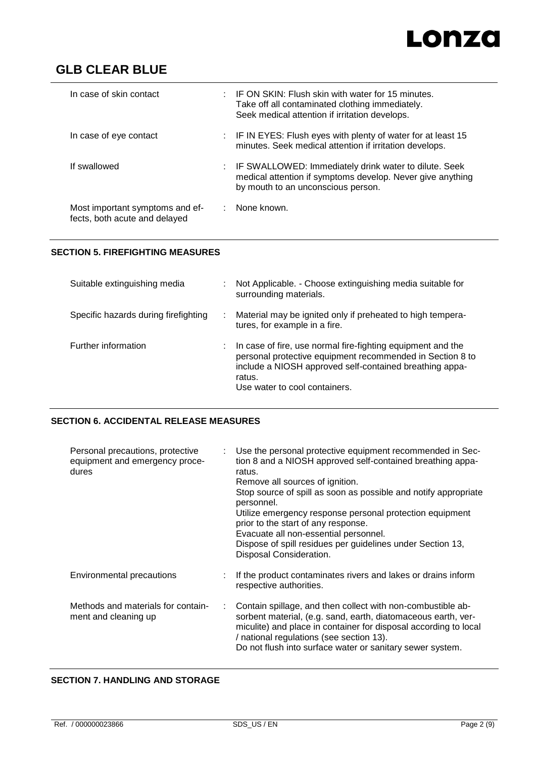# Lonza

# **GLB CLEAR BLUE**

| In case of skin contact                                          | $\pm$ IF ON SKIN: Flush skin with water for 15 minutes.<br>Take off all contaminated clothing immediately.<br>Seek medical attention if irritation develops. |
|------------------------------------------------------------------|--------------------------------------------------------------------------------------------------------------------------------------------------------------|
| In case of eye contact                                           | : IF IN EYES: Flush eyes with plenty of water for at least 15<br>minutes. Seek medical attention if irritation develops.                                     |
| If swallowed                                                     | : IF SWALLOWED: Immediately drink water to dilute. Seek<br>medical attention if symptoms develop. Never give anything<br>by mouth to an unconscious person.  |
| Most important symptoms and ef-<br>fects, both acute and delayed | None known.                                                                                                                                                  |

# **SECTION 5. FIREFIGHTING MEASURES**

| Suitable extinguishing media         | Not Applicable. - Choose extinguishing media suitable for<br>surrounding materials.                                                                                                                                            |
|--------------------------------------|--------------------------------------------------------------------------------------------------------------------------------------------------------------------------------------------------------------------------------|
| Specific hazards during firefighting | Material may be ignited only if preheated to high tempera-<br>tures, for example in a fire.                                                                                                                                    |
| Further information                  | In case of fire, use normal fire-fighting equipment and the<br>personal protective equipment recommended in Section 8 to<br>include a NIOSH approved self-contained breathing appa-<br>ratus.<br>Use water to cool containers. |

# **SECTION 6. ACCIDENTAL RELEASE MEASURES**

| Personal precautions, protective<br>equipment and emergency proce-<br>dures |   | Use the personal protective equipment recommended in Sec-<br>tion 8 and a NIOSH approved self-contained breathing appa-<br>ratus.<br>Remove all sources of ignition.<br>Stop source of spill as soon as possible and notify appropriate<br>personnel.<br>Utilize emergency response personal protection equipment<br>prior to the start of any response.<br>Evacuate all non-essential personnel.<br>Dispose of spill residues per guidelines under Section 13,<br>Disposal Consideration. |
|-----------------------------------------------------------------------------|---|--------------------------------------------------------------------------------------------------------------------------------------------------------------------------------------------------------------------------------------------------------------------------------------------------------------------------------------------------------------------------------------------------------------------------------------------------------------------------------------------|
| Environmental precautions                                                   |   | If the product contaminates rivers and lakes or drains inform<br>respective authorities.                                                                                                                                                                                                                                                                                                                                                                                                   |
| Methods and materials for contain-<br>ment and cleaning up                  | ÷ | Contain spillage, and then collect with non-combustible ab-<br>sorbent material, (e.g. sand, earth, diatomaceous earth, ver-<br>miculite) and place in container for disposal according to local<br>/ national regulations (see section 13).<br>Do not flush into surface water or sanitary sewer system.                                                                                                                                                                                  |

## **SECTION 7. HANDLING AND STORAGE**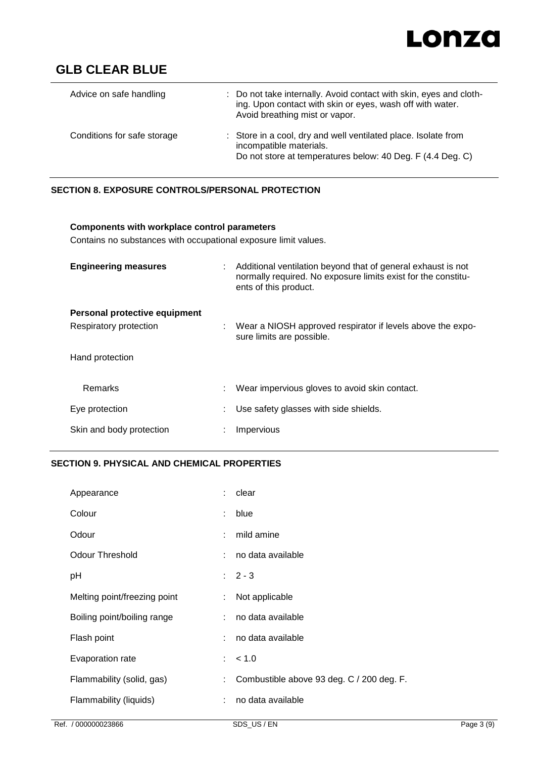

| Advice on safe handling     | : Do not take internally. Avoid contact with skin, eyes and cloth-<br>ing. Upon contact with skin or eyes, wash off with water.<br>Avoid breathing mist or vapor. |
|-----------------------------|-------------------------------------------------------------------------------------------------------------------------------------------------------------------|
| Conditions for safe storage | : Store in a cool, dry and well ventilated place. Isolate from<br>incompatible materials.<br>Do not store at temperatures below: 40 Deg. F (4.4 Deg. C)           |

# **SECTION 8. EXPOSURE CONTROLS/PERSONAL PROTECTION**

| Components with workplace control parameters<br>Contains no substances with occupational exposure limit values. |  |                                                                                                                                                          |
|-----------------------------------------------------------------------------------------------------------------|--|----------------------------------------------------------------------------------------------------------------------------------------------------------|
| <b>Engineering measures</b>                                                                                     |  | : Additional ventilation beyond that of general exhaust is not<br>normally required. No exposure limits exist for the constitu-<br>ents of this product. |
| Personal protective equipment                                                                                   |  |                                                                                                                                                          |
| Respiratory protection                                                                                          |  | : Wear a NIOSH approved respirator if levels above the expo-<br>sure limits are possible.                                                                |
| Hand protection                                                                                                 |  |                                                                                                                                                          |
| <b>Remarks</b>                                                                                                  |  | Wear impervious gloves to avoid skin contact.                                                                                                            |
| Eye protection                                                                                                  |  | Use safety glasses with side shields.                                                                                                                    |
| Skin and body protection                                                                                        |  | Impervious                                                                                                                                               |

# **SECTION 9. PHYSICAL AND CHEMICAL PROPERTIES**

| Appearance                   |                           | $:$ clear                                 |
|------------------------------|---------------------------|-------------------------------------------|
| Colour                       | $\mathbb{R}^{\mathbb{Z}}$ | blue                                      |
| Odour                        | ÷.                        | mild amine                                |
| <b>Odour Threshold</b>       | t.                        | no data available                         |
| pH                           |                           | $: 2 - 3$                                 |
| Melting point/freezing point | ÷.                        | Not applicable                            |
| Boiling point/boiling range  | t.                        | no data available                         |
| Flash point                  |                           | no data available                         |
| Evaporation rate             |                           | : 50                                      |
| Flammability (solid, gas)    | ÷                         | Combustible above 93 deg. C / 200 deg. F. |
| Flammability (liquids)       | ÷                         | no data available                         |
|                              |                           |                                           |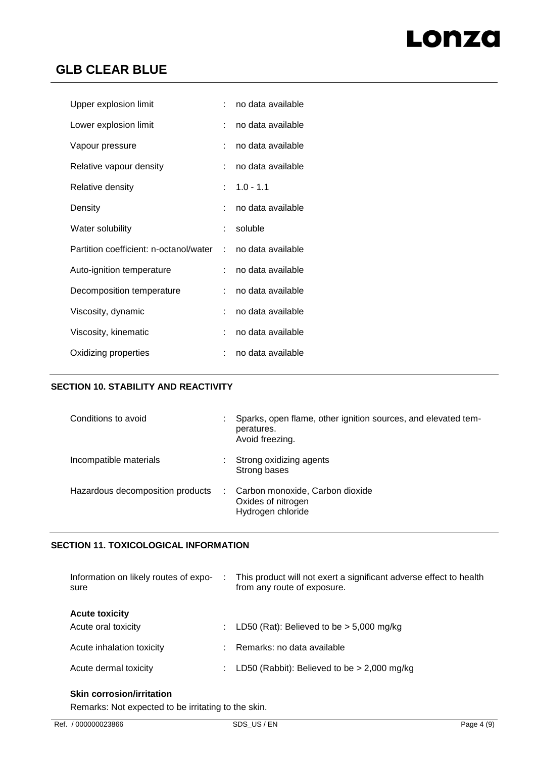# Lonza

# **GLB CLEAR BLUE**

| Upper explosion limit                    | ٠. | no data available |
|------------------------------------------|----|-------------------|
| Lower explosion limit                    |    | no data available |
| Vapour pressure                          |    | no data available |
| Relative vapour density                  |    | no data available |
| Relative density                         | t. | $1.0 - 1.1$       |
| Density                                  |    | no data available |
| Water solubility                         |    | soluble           |
| Partition coefficient: n-octanol/water : |    | no data available |
| Auto-ignition temperature                | t. | no data available |
| Decomposition temperature                | ÷. | no data available |
| Viscosity, dynamic                       |    | no data available |
| Viscosity, kinematic                     |    | no data available |
| Oxidizing properties                     |    | no data available |

## **SECTION 10. STABILITY AND REACTIVITY**

| Conditions to avoid              | Sparks, open flame, other ignition sources, and elevated tem-<br>peratures.<br>Avoid freezing. |
|----------------------------------|------------------------------------------------------------------------------------------------|
| Incompatible materials           | Strong oxidizing agents<br>Strong bases                                                        |
| Hazardous decomposition products | Carbon monoxide, Carbon dioxide<br>Oxides of nitrogen<br>Hydrogen chloride                     |

# **SECTION 11. TOXICOLOGICAL INFORMATION**

| Information on likely routes of expo-<br>sure | This product will not exert a significant adverse effect to health<br>from any route of exposure. |
|-----------------------------------------------|---------------------------------------------------------------------------------------------------|
| <b>Acute toxicity</b>                         |                                                                                                   |
| Acute oral toxicity                           | LD50 (Rat): Believed to be $>$ 5,000 mg/kg                                                        |
| Acute inhalation toxicity                     | Remarks: no data available                                                                        |
| Acute dermal toxicity                         | LD50 (Rabbit): Believed to be $>$ 2,000 mg/kg                                                     |

# **Skin corrosion/irritation**

Remarks: Not expected to be irritating to the skin.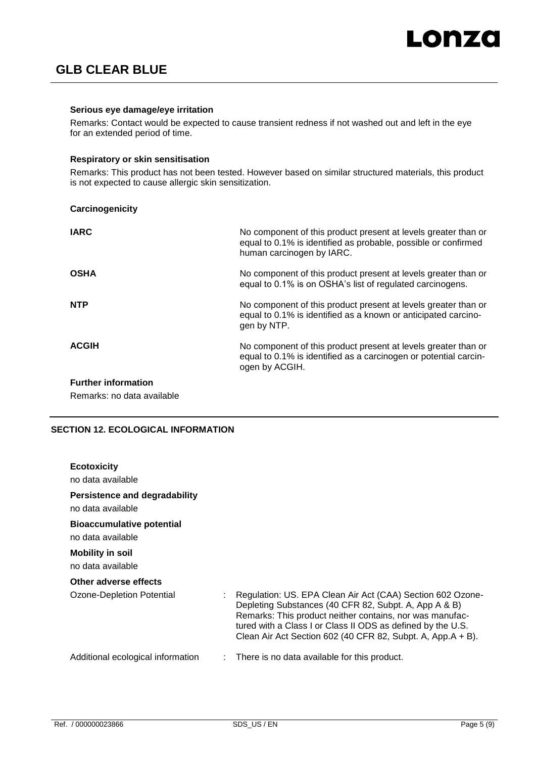#### **Serious eye damage/eye irritation**

Remarks: Contact would be expected to cause transient redness if not washed out and left in the eye for an extended period of time.

#### **Respiratory or skin sensitisation**

Remarks: This product has not been tested. However based on similar structured materials, this product is not expected to cause allergic skin sensitization.

| Carcinogenicity            |                                                                                                                                                               |
|----------------------------|---------------------------------------------------------------------------------------------------------------------------------------------------------------|
| <b>IARC</b>                | No component of this product present at levels greater than or<br>equal to 0.1% is identified as probable, possible or confirmed<br>human carcinogen by IARC. |
| <b>OSHA</b>                | No component of this product present at levels greater than or<br>equal to 0.1% is on OSHA's list of regulated carcinogens.                                   |
| <b>NTP</b>                 | No component of this product present at levels greater than or<br>equal to 0.1% is identified as a known or anticipated carcino-<br>gen by NTP.               |
| <b>ACGIH</b>               | No component of this product present at levels greater than or<br>equal to 0.1% is identified as a carcinogen or potential carcin-<br>ogen by ACGIH.          |
| <b>Further information</b> |                                                                                                                                                               |

Remarks: no data available

## **SECTION 12. ECOLOGICAL INFORMATION**

| <b>Ecotoxicity</b><br>no data available.               |                                                                                                                                                                                                                                                                                                               |
|--------------------------------------------------------|---------------------------------------------------------------------------------------------------------------------------------------------------------------------------------------------------------------------------------------------------------------------------------------------------------------|
| Persistence and degradability<br>no data available.    |                                                                                                                                                                                                                                                                                                               |
| <b>Bioaccumulative potential</b><br>no data available. |                                                                                                                                                                                                                                                                                                               |
| <b>Mobility in soil</b><br>no data available           |                                                                                                                                                                                                                                                                                                               |
| Other adverse effects                                  |                                                                                                                                                                                                                                                                                                               |
| Ozone-Depletion Potential                              | Regulation: US. EPA Clean Air Act (CAA) Section 602 Ozone-<br>Depleting Substances (40 CFR 82, Subpt. A, App A & B)<br>Remarks: This product neither contains, nor was manufac-<br>tured with a Class I or Class II ODS as defined by the U.S.<br>Clean Air Act Section 602 (40 CFR 82, Subpt. A, App.A + B). |
| Additional ecological information                      | There is no data available for this product.                                                                                                                                                                                                                                                                  |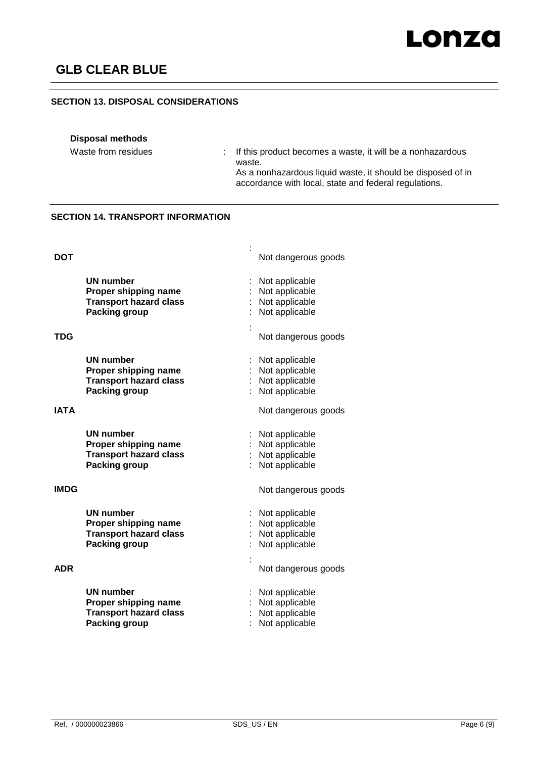## **SECTION 13. DISPOSAL CONSIDERATIONS**

## **Disposal methods**

Waste from residues : If this product becomes a waste, it will be a nonhazardous waste.

As a nonhazardous liquid waste, it should be disposed of in accordance with local, state and federal regulations.

# **SECTION 14. TRANSPORT INFORMATION**

| DOT         |                                                                                                   | Not dangerous goods                                                                           |
|-------------|---------------------------------------------------------------------------------------------------|-----------------------------------------------------------------------------------------------|
| TDG         | <b>UN number</b><br>Proper shipping name<br><b>Transport hazard class</b><br><b>Packing group</b> | Not applicable<br>Not applicable<br>: Not applicable<br>Not applicable<br>Not dangerous goods |
| <b>ATAI</b> | <b>UN number</b><br>Proper shipping name<br><b>Transport hazard class</b><br><b>Packing group</b> | Not applicable<br>Not applicable<br>Not applicable<br>Not applicable<br>Not dangerous goods   |
|             | <b>UN number</b><br>Proper shipping name<br><b>Transport hazard class</b><br>Packing group        | Not applicable<br>Not applicable<br>Not applicable<br>Not applicable                          |
| IMDG        | <b>UN number</b><br>Proper shipping name<br><b>Transport hazard class</b><br><b>Packing group</b> | Not dangerous goods<br>Not applicable<br>Not applicable<br>Not applicable<br>Not applicable   |
| ADR         |                                                                                                   | Not dangerous goods                                                                           |
|             | <b>UN number</b><br>Proper shipping name<br><b>Transport hazard class</b><br>Packing group        | Not applicable<br>Not applicable<br>Not applicable<br>Not applicable                          |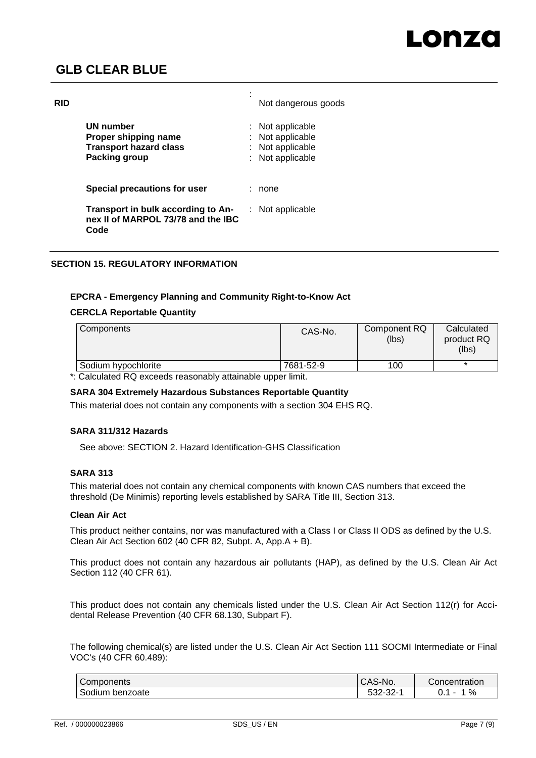| <b>RID</b> |                                                                                     | Not dangerous goods                                                  |
|------------|-------------------------------------------------------------------------------------|----------------------------------------------------------------------|
|            | UN number<br>Proper shipping name<br><b>Transport hazard class</b><br>Packing group | Not applicable<br>Not applicable<br>Not applicable<br>Not applicable |
|            | Special precautions for user                                                        | none                                                                 |
|            | Transport in bulk according to An-<br>nex II of MARPOL 73/78 and the IBC<br>Code    | Not applicable                                                       |

# **SECTION 15. REGULATORY INFORMATION**

## **EPCRA - Emergency Planning and Community Right-to-Know Act**

#### **CERCLA Reportable Quantity**

| Components                                    | CAS-No.   | Component RQ<br>(lbs) | Calculated<br>product RQ<br>(lbs) |
|-----------------------------------------------|-----------|-----------------------|-----------------------------------|
| Sodium hypochlorite                           | 7681-52-9 | 100                   |                                   |
| _ _ _ _ _ _ _<br>$\sim$ $\sim$<br>.<br>______ | .         |                       |                                   |

\*: Calculated RQ exceeds reasonably attainable upper limit.

# **SARA 304 Extremely Hazardous Substances Reportable Quantity**

This material does not contain any components with a section 304 EHS RQ.

#### **SARA 311/312 Hazards**

See above: SECTION 2. Hazard Identification-GHS Classification

#### **SARA 313**

This material does not contain any chemical components with known CAS numbers that exceed the threshold (De Minimis) reporting levels established by SARA Title III, Section 313.

#### **Clean Air Act**

This product neither contains, nor was manufactured with a Class I or Class II ODS as defined by the U.S. Clean Air Act Section 602 (40 CFR 82, Subpt. A, App.A + B).

This product does not contain any hazardous air pollutants (HAP), as defined by the U.S. Clean Air Act Section 112 (40 CFR 61).

This product does not contain any chemicals listed under the U.S. Clean Air Act Section 112(r) for Accidental Release Prevention (40 CFR 68.130, Subpart F).

The following chemical(s) are listed under the U.S. Clean Air Act Section 111 SOCMI Intermediate or Final VOC's (40 CFR 60.489):

| Components                   | $\bigcap$<br>CAS-No.           | Concentration |
|------------------------------|--------------------------------|---------------|
| $\sim$<br>Sodium<br>benzoate | $\sim$<br>-00<br>ు∠∹<br>- 202- | %<br>v.       |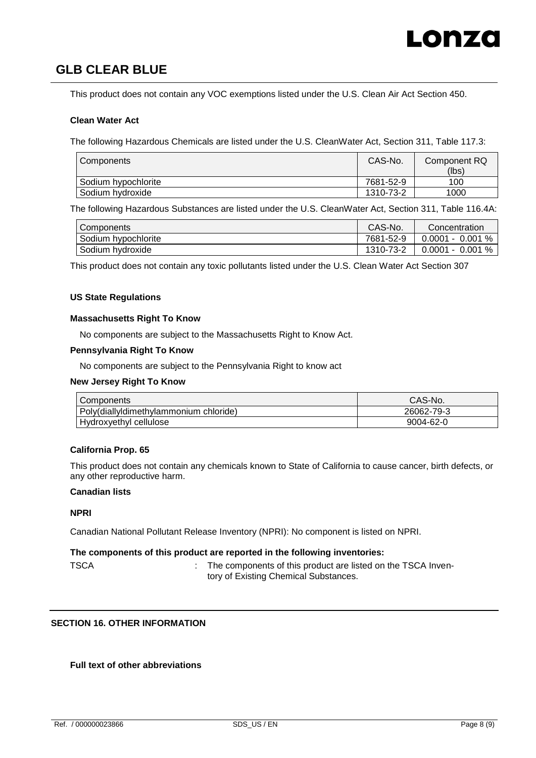This product does not contain any VOC exemptions listed under the U.S. Clean Air Act Section 450.

#### **Clean Water Act**

The following Hazardous Chemicals are listed under the U.S. CleanWater Act, Section 311, Table 117.3:

| Components          | CAS-No.   | Component RQ<br>(lbs) |
|---------------------|-----------|-----------------------|
| Sodium hypochlorite | 7681-52-9 | 100                   |
| Sodium hydroxide    | 1310-73-2 | 1000                  |

The following Hazardous Substances are listed under the U.S. CleanWater Act, Section 311, Table 116.4A:

| Components          | CAS-No.   | Concentration         |
|---------------------|-----------|-----------------------|
| Sodium hypochlorite | 7681-52-9 | $0.0001 - 0.001 %$    |
| Sodium hydroxide    | 1310-73-2 | %<br>$0.0001 - 0.001$ |

This product does not contain any toxic pollutants listed under the U.S. Clean Water Act Section 307

#### **US State Regulations**

#### **Massachusetts Right To Know**

No components are subject to the Massachusetts Right to Know Act.

#### **Pennsylvania Right To Know**

No components are subject to the Pennsylvania Right to know act

#### **New Jersey Right To Know**

| Components                             | CAS-No.    |
|----------------------------------------|------------|
| Poly(diallyldimethylammonium chloride) | 26062-79-3 |
| <b>Hydroxyethyl cellulose</b>          | 9004-62-0  |

#### **California Prop. 65**

This product does not contain any chemicals known to State of California to cause cancer, birth defects, or any other reproductive harm.

## **Canadian lists**

#### **NPRI**

Canadian National Pollutant Release Inventory (NPRI): No component is listed on NPRI.

#### **The components of this product are reported in the following inventories:**

TSCA : The components of this product are listed on the TSCA Inventory of Existing Chemical Substances.

#### **SECTION 16. OTHER INFORMATION**

## **Full text of other abbreviations**